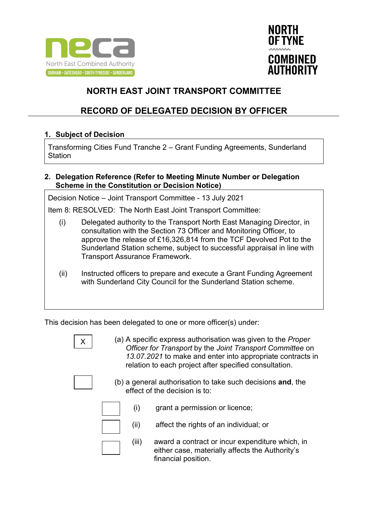



## **RECORD OF DELEGATED DECISION BY OFFICER**

#### **1. Subject of Decision**

Transforming Cities Fund Tranche 2 – Grant Funding Agreements, Sunderland **Station** 

#### **2. Delegation Reference (Refer to Meeting Minute Number or Delegation Scheme in the Constitution or Decision Notice)**

Decision Notice – Joint Transport Committee - 13 July 2021

Item 8: RESOLVED: The North East Joint Transport Committee:

- (i) Delegated authority to the Transport North East Managing Director, in consultation with the Section 73 Officer and Monitoring Officer, to approve the release of £16,326,814 from the TCF Devolved Pot to the Sunderland Station scheme, subject to successful appraisal in line with Transport Assurance Framework.
- (ii) Instructed officers to prepare and execute a Grant Funding Agreement with Sunderland City Council for the Sunderland Station scheme.

This decision has been delegated to one or more officer(s) under:



(a) A specific express authorisation was given to the *Proper Officer for Transport* by the *Joint Transport Committee* on *13.07.2021* to make and enter into appropriate contracts in relation to each project after specified consultation.

(b) a general authorisation to take such decisions **and**, the effect of the decision is to:

- (i) grant a permission or licence;
- 
- (ii) affect the rights of an individual; or

(iii) award a contract or incur expenditure which, in either case, materially affects the Authority's financial position.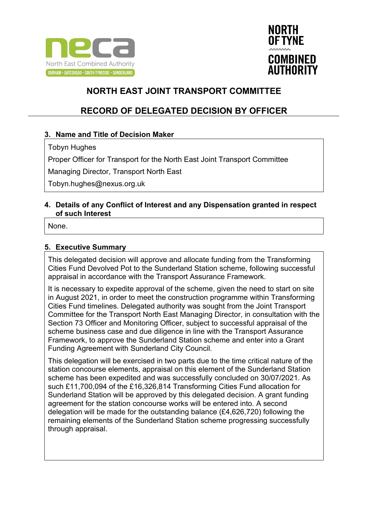



## **RECORD OF DELEGATED DECISION BY OFFICER**

#### **3. Name and Title of Decision Maker**

Tobyn Hughes

Proper Officer for Transport for the North East Joint Transport Committee

Managing Director, Transport North East

Tobyn.hughes@nexus.org.uk

#### **4. Details of any Conflict of Interest and any Dispensation granted in respect of such Interest**

None.

#### **5. Executive Summary**

This delegated decision will approve and allocate funding from the Transforming Cities Fund Devolved Pot to the Sunderland Station scheme, following successful appraisal in accordance with the Transport Assurance Framework.

It is necessary to expedite approval of the scheme, given the need to start on site in August 2021, in order to meet the construction programme within Transforming Cities Fund timelines. Delegated authority was sought from the Joint Transport Committee for the Transport North East Managing Director, in consultation with the Section 73 Officer and Monitoring Officer, subject to successful appraisal of the scheme business case and due diligence in line with the Transport Assurance Framework, to approve the Sunderland Station scheme and enter into a Grant Funding Agreement with Sunderland City Council.

This delegation will be exercised in two parts due to the time critical nature of the station concourse elements, appraisal on this element of the Sunderland Station scheme has been expedited and was successfully concluded on 30/07/2021. As such £11,700,094 of the £16,326,814 Transforming Cities Fund allocation for Sunderland Station will be approved by this delegated decision. A grant funding agreement for the station concourse works will be entered into. A second delegation will be made for the outstanding balance (£4,626,720) following the remaining elements of the Sunderland Station scheme progressing successfully through appraisal.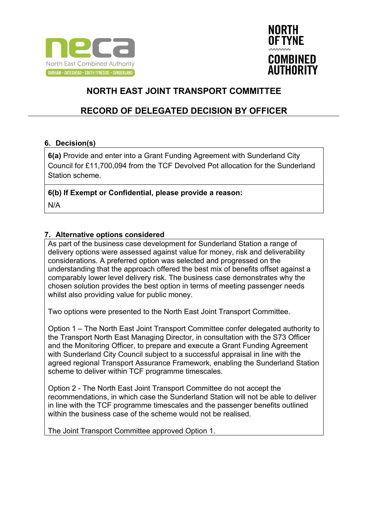



## **RECORD OF DELEGATED DECISION BY OFFICER**

#### **6. Decision(s)**

**6(a)** Provide and enter into a Grant Funding Agreement with Sunderland City Council for £11,700,094 from the TCF Devolved Pot allocation for the Sunderland Station scheme.

**6(b) If Exempt or Confidential, please provide a reason:** N/A

#### **7. Alternative options considered**

As part of the business case development for Sunderland Station a range of delivery options were assessed against value for money, risk and deliverability considerations. A preferred option was selected and progressed on the understanding that the approach offered the best mix of benefits offset against a comparably lower level delivery risk. The business case demonstrates why the chosen solution provides the best option in terms of meeting passenger needs whilst also providing value for public money.

Two options were presented to the North East Joint Transport Committee.

Option 1 – The North East Joint Transport Committee confer delegated authority to the Transport North East Managing Director, in consultation with the S73 Officer and the Monitoring Officer, to prepare and execute a Grant Funding Agreement with Sunderland City Council subject to a successful appraisal in line with the agreed regional Transport Assurance Framework, enabling the Sunderland Station scheme to deliver within TCF programme timescales.

Option 2 - The North East Joint Transport Committee do not accept the recommendations, in which case the Sunderland Station will not be able to deliver in line with the TCF programme timescales and the passenger benefits outlined within the business case of the scheme would not be realised.

The Joint Transport Committee approved Option 1.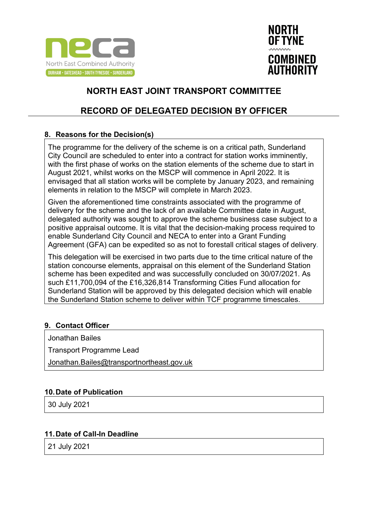



## **RECORD OF DELEGATED DECISION BY OFFICER**

### **8. Reasons for the Decision(s)**

The programme for the delivery of the scheme is on a critical path, Sunderland City Council are scheduled to enter into a contract for station works imminently, with the first phase of works on the station elements of the scheme due to start in August 2021, whilst works on the MSCP will commence in April 2022. It is envisaged that all station works will be complete by January 2023, and remaining elements in relation to the MSCP will complete in March 2023.

Given the aforementioned time constraints associated with the programme of delivery for the scheme and the lack of an available Committee date in August, delegated authority was sought to approve the scheme business case subject to a positive appraisal outcome. It is vital that the decision-making process required to enable Sunderland City Council and NECA to enter into a Grant Funding Agreement (GFA) can be expedited so as not to forestall critical stages of delivery*.*

This delegation will be exercised in two parts due to the time critical nature of the station concourse elements, appraisal on this element of the Sunderland Station scheme has been expedited and was successfully concluded on 30/07/2021. As such £11,700,094 of the £16,326,814 Transforming Cities Fund allocation for Sunderland Station will be approved by this delegated decision which will enable the Sunderland Station scheme to deliver within TCF programme timescales.

### **9. Contact Officer**

Jonathan Bailes

Transport Programme Lead

[Jonathan.Bailes@transportnortheast.gov.uk](mailto:Jonathan.Bailes@transportnortheast.gov.uk)

### **10.Date of Publication**

30 July 2021

### **11.Date of Call-In Deadline**

21 July 2021